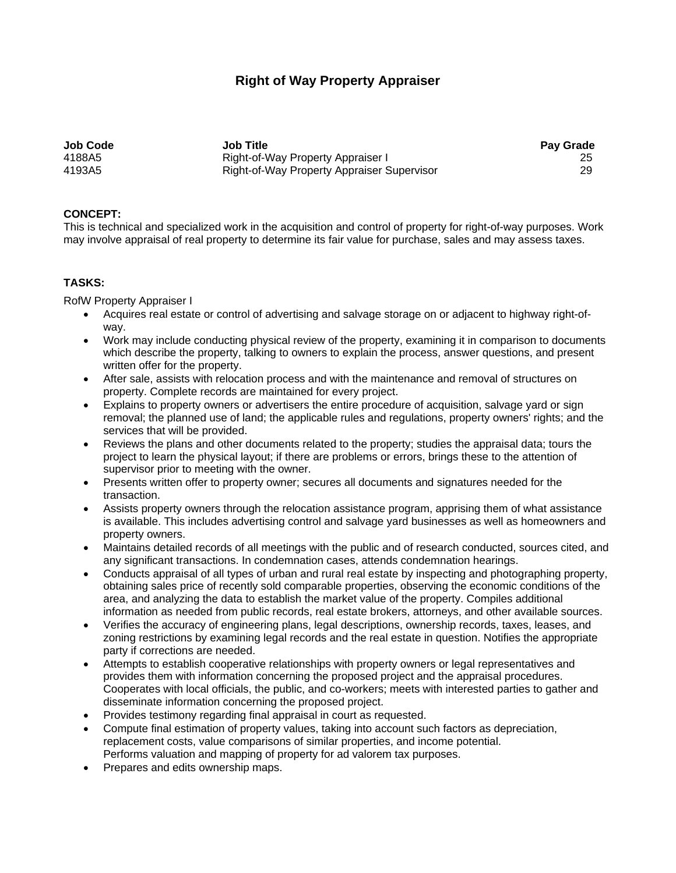# **Right of Way Property Appraiser**

**Job Code Job Title Pay Grade**  4188A5 Right-of-Way Property Appraiser I 25 Right-of-Way Property Appraiser Supervisor

### **CONCEPT:**

This is technical and specialized work in the acquisition and control of property for right-of-way purposes. Work may involve appraisal of real property to determine its fair value for purchase, sales and may assess taxes.

#### **TASKS:**

RofW Property Appraiser I

- Acquires real estate or control of advertising and salvage storage on or adjacent to highway right-ofway.
- Work may include conducting physical review of the property, examining it in comparison to documents which describe the property, talking to owners to explain the process, answer questions, and present written offer for the property.
- After sale, assists with relocation process and with the maintenance and removal of structures on property. Complete records are maintained for every project.
- Explains to property owners or advertisers the entire procedure of acquisition, salvage yard or sign removal; the planned use of land; the applicable rules and regulations, property owners' rights; and the services that will be provided.
- Reviews the plans and other documents related to the property; studies the appraisal data; tours the project to learn the physical layout; if there are problems or errors, brings these to the attention of supervisor prior to meeting with the owner.
- Presents written offer to property owner; secures all documents and signatures needed for the transaction.
- Assists property owners through the relocation assistance program, apprising them of what assistance is available. This includes advertising control and salvage yard businesses as well as homeowners and property owners.
- Maintains detailed records of all meetings with the public and of research conducted, sources cited, and any significant transactions. In condemnation cases, attends condemnation hearings.
- Conducts appraisal of all types of urban and rural real estate by inspecting and photographing property, obtaining sales price of recently sold comparable properties, observing the economic conditions of the area, and analyzing the data to establish the market value of the property. Compiles additional information as needed from public records, real estate brokers, attorneys, and other available sources.
- Verifies the accuracy of engineering plans, legal descriptions, ownership records, taxes, leases, and zoning restrictions by examining legal records and the real estate in question. Notifies the appropriate party if corrections are needed.
- Attempts to establish cooperative relationships with property owners or legal representatives and provides them with information concerning the proposed project and the appraisal procedures. Cooperates with local officials, the public, and co-workers; meets with interested parties to gather and disseminate information concerning the proposed project.
- Provides testimony regarding final appraisal in court as requested.
- Compute final estimation of property values, taking into account such factors as depreciation, replacement costs, value comparisons of similar properties, and income potential. Performs valuation and mapping of property for ad valorem tax purposes.
- Prepares and edits ownership maps.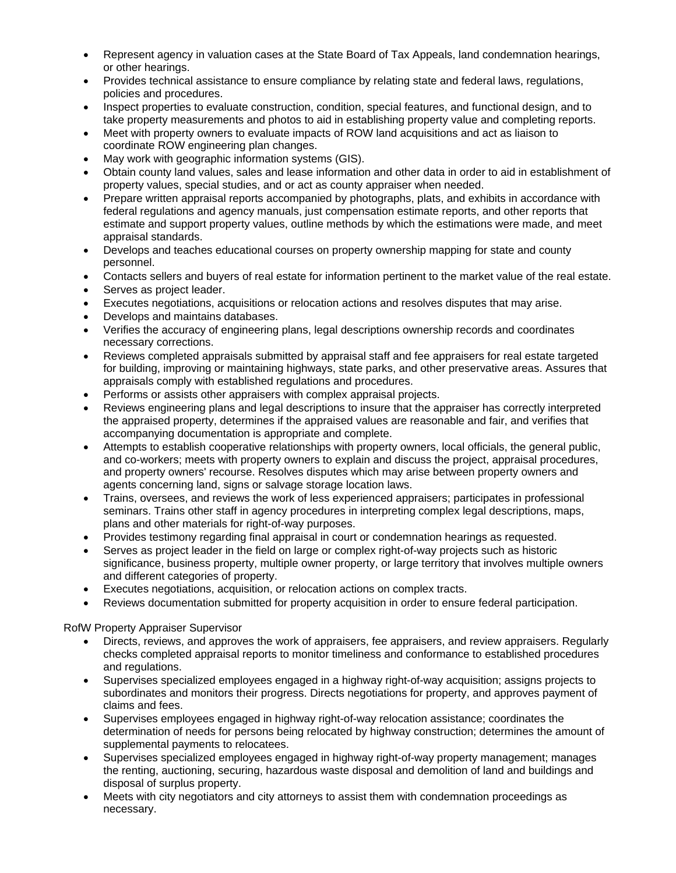- Represent agency in valuation cases at the State Board of Tax Appeals, land condemnation hearings, or other hearings.
- Provides technical assistance to ensure compliance by relating state and federal laws, regulations, policies and procedures.
- Inspect properties to evaluate construction, condition, special features, and functional design, and to take property measurements and photos to aid in establishing property value and completing reports.
- Meet with property owners to evaluate impacts of ROW land acquisitions and act as liaison to coordinate ROW engineering plan changes.
- May work with geographic information systems (GIS).
- Obtain county land values, sales and lease information and other data in order to aid in establishment of property values, special studies, and or act as county appraiser when needed.
- Prepare written appraisal reports accompanied by photographs, plats, and exhibits in accordance with federal regulations and agency manuals, just compensation estimate reports, and other reports that estimate and support property values, outline methods by which the estimations were made, and meet appraisal standards.
- Develops and teaches educational courses on property ownership mapping for state and county personnel.
- Contacts sellers and buyers of real estate for information pertinent to the market value of the real estate.
- Serves as project leader.
- Executes negotiations, acquisitions or relocation actions and resolves disputes that may arise.
- Develops and maintains databases.
- Verifies the accuracy of engineering plans, legal descriptions ownership records and coordinates necessary corrections.
- Reviews completed appraisals submitted by appraisal staff and fee appraisers for real estate targeted for building, improving or maintaining highways, state parks, and other preservative areas. Assures that appraisals comply with established regulations and procedures.
- Performs or assists other appraisers with complex appraisal projects.
- Reviews engineering plans and legal descriptions to insure that the appraiser has correctly interpreted the appraised property, determines if the appraised values are reasonable and fair, and verifies that accompanying documentation is appropriate and complete.
- Attempts to establish cooperative relationships with property owners, local officials, the general public, and co-workers; meets with property owners to explain and discuss the project, appraisal procedures, and property owners' recourse. Resolves disputes which may arise between property owners and agents concerning land, signs or salvage storage location laws.
- Trains, oversees, and reviews the work of less experienced appraisers; participates in professional seminars. Trains other staff in agency procedures in interpreting complex legal descriptions, maps, plans and other materials for right-of-way purposes.
- Provides testimony regarding final appraisal in court or condemnation hearings as requested.
- Serves as project leader in the field on large or complex right-of-way projects such as historic significance, business property, multiple owner property, or large territory that involves multiple owners and different categories of property.
- Executes negotiations, acquisition, or relocation actions on complex tracts.
- Reviews documentation submitted for property acquisition in order to ensure federal participation.

## RofW Property Appraiser Supervisor

- Directs, reviews, and approves the work of appraisers, fee appraisers, and review appraisers. Regularly checks completed appraisal reports to monitor timeliness and conformance to established procedures and regulations.
- Supervises specialized employees engaged in a highway right-of-way acquisition; assigns projects to subordinates and monitors their progress. Directs negotiations for property, and approves payment of claims and fees.
- Supervises employees engaged in highway right-of-way relocation assistance; coordinates the determination of needs for persons being relocated by highway construction; determines the amount of supplemental payments to relocatees.
- Supervises specialized employees engaged in highway right-of-way property management; manages the renting, auctioning, securing, hazardous waste disposal and demolition of land and buildings and disposal of surplus property.
- Meets with city negotiators and city attorneys to assist them with condemnation proceedings as necessary.